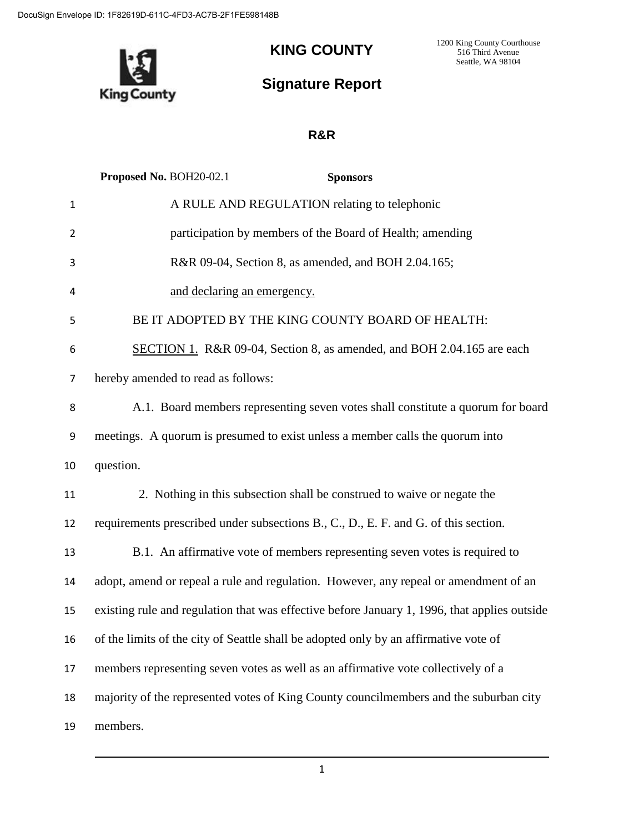**King County** 

## **KING COUNTY**

1200 King County Courthouse 516 Third Avenue Seattle, WA 98104

## **Signature Report**

## **R&R**

|                | Proposed No. BOH20-02.1<br><b>Sponsors</b>                                                   |  |  |  |  |  |  |  |
|----------------|----------------------------------------------------------------------------------------------|--|--|--|--|--|--|--|
| $\mathbf{1}$   | A RULE AND REGULATION relating to telephonic                                                 |  |  |  |  |  |  |  |
| 2              | participation by members of the Board of Health; amending                                    |  |  |  |  |  |  |  |
| 3              | R&R 09-04, Section 8, as amended, and BOH 2.04.165;                                          |  |  |  |  |  |  |  |
| 4              | and declaring an emergency.                                                                  |  |  |  |  |  |  |  |
| 5              | BE IT ADOPTED BY THE KING COUNTY BOARD OF HEALTH:                                            |  |  |  |  |  |  |  |
| 6              | SECTION 1. R&R 09-04, Section 8, as amended, and BOH 2.04.165 are each                       |  |  |  |  |  |  |  |
| $\overline{7}$ | hereby amended to read as follows:                                                           |  |  |  |  |  |  |  |
| 8              | A.1. Board members representing seven votes shall constitute a quorum for board              |  |  |  |  |  |  |  |
| 9              | meetings. A quorum is presumed to exist unless a member calls the quorum into                |  |  |  |  |  |  |  |
| 10             | question.                                                                                    |  |  |  |  |  |  |  |
| 11             | 2. Nothing in this subsection shall be construed to waive or negate the                      |  |  |  |  |  |  |  |
| 12             | requirements prescribed under subsections B., C., D., E. F. and G. of this section.          |  |  |  |  |  |  |  |
| 13             | B.1. An affirmative vote of members representing seven votes is required to                  |  |  |  |  |  |  |  |
| 14             | adopt, amend or repeal a rule and regulation. However, any repeal or amendment of an         |  |  |  |  |  |  |  |
| 15             | existing rule and regulation that was effective before January 1, 1996, that applies outside |  |  |  |  |  |  |  |
| 16             | of the limits of the city of Seattle shall be adopted only by an affirmative vote of         |  |  |  |  |  |  |  |
| 17             | members representing seven votes as well as an affirmative vote collectively of a            |  |  |  |  |  |  |  |
| 18             | majority of the represented votes of King County councilmembers and the suburban city        |  |  |  |  |  |  |  |
| 19             | members.                                                                                     |  |  |  |  |  |  |  |

1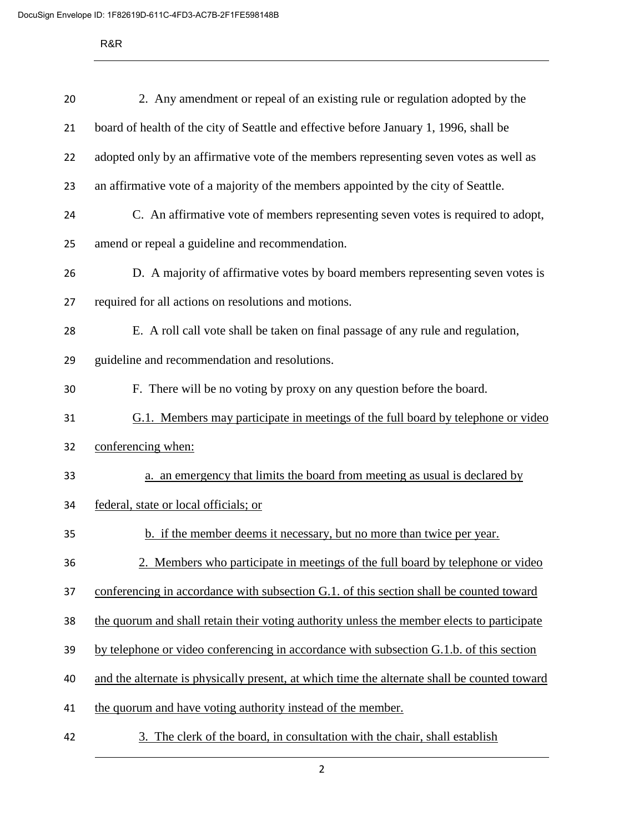R&R

| 20 | 2. Any amendment or repeal of an existing rule or regulation adopted by the                  |  |  |  |  |  |  |
|----|----------------------------------------------------------------------------------------------|--|--|--|--|--|--|
| 21 | board of health of the city of Seattle and effective before January 1, 1996, shall be        |  |  |  |  |  |  |
| 22 | adopted only by an affirmative vote of the members representing seven votes as well as       |  |  |  |  |  |  |
| 23 | an affirmative vote of a majority of the members appointed by the city of Seattle.           |  |  |  |  |  |  |
| 24 | C. An affirmative vote of members representing seven votes is required to adopt,             |  |  |  |  |  |  |
| 25 | amend or repeal a guideline and recommendation.                                              |  |  |  |  |  |  |
| 26 | D. A majority of affirmative votes by board members representing seven votes is              |  |  |  |  |  |  |
| 27 | required for all actions on resolutions and motions.                                         |  |  |  |  |  |  |
| 28 | E. A roll call vote shall be taken on final passage of any rule and regulation,              |  |  |  |  |  |  |
| 29 | guideline and recommendation and resolutions.                                                |  |  |  |  |  |  |
| 30 | F. There will be no voting by proxy on any question before the board.                        |  |  |  |  |  |  |
| 31 | G.1. Members may participate in meetings of the full board by telephone or video             |  |  |  |  |  |  |
| 32 | conferencing when:                                                                           |  |  |  |  |  |  |
| 33 | a. an emergency that limits the board from meeting as usual is declared by                   |  |  |  |  |  |  |
| 34 | federal, state or local officials; or                                                        |  |  |  |  |  |  |
| 35 | b. if the member deems it necessary, but no more than twice per year.                        |  |  |  |  |  |  |
| 36 | 2. Members who participate in meetings of the full board by telephone or video               |  |  |  |  |  |  |
| 37 | conferencing in accordance with subsection G.1. of this section shall be counted toward      |  |  |  |  |  |  |
| 38 | the quorum and shall retain their voting authority unless the member elects to participate   |  |  |  |  |  |  |
| 39 | by telephone or video conferencing in accordance with subsection G.1.b. of this section      |  |  |  |  |  |  |
| 40 | and the alternate is physically present, at which time the alternate shall be counted toward |  |  |  |  |  |  |
| 41 | the quorum and have voting authority instead of the member.                                  |  |  |  |  |  |  |
| 42 | The clerk of the board, in consultation with the chair, shall establish<br>3.                |  |  |  |  |  |  |

2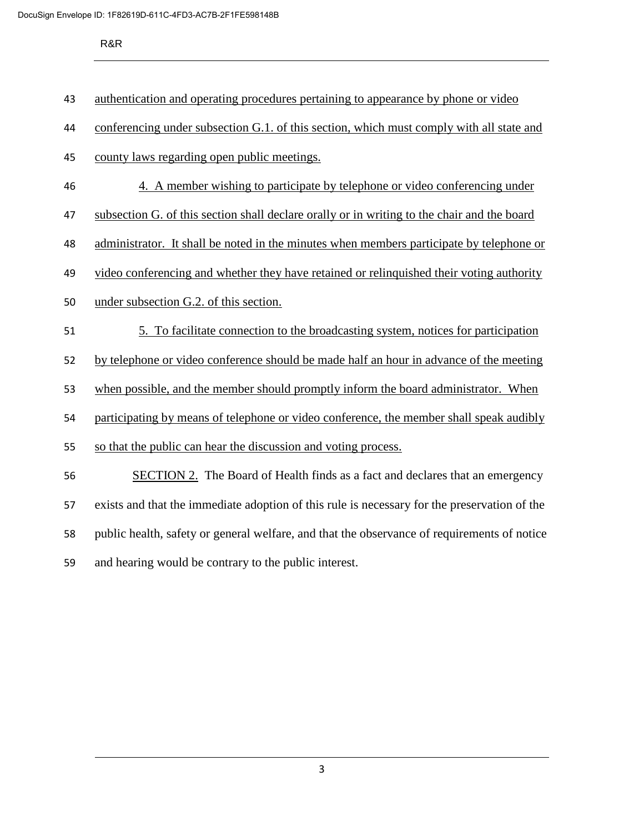R&R

| 12 |  | authentication and operating procedures pertaining to appearance by phone or video |  |
|----|--|------------------------------------------------------------------------------------|--|
|    |  |                                                                                    |  |

- conferencing under subsection G.1. of this section, which must comply with all state and
- county laws regarding open public meetings.
- 4. A member wishing to participate by telephone or video conferencing under
- subsection G. of this section shall declare orally or in writing to the chair and the board
- 48 administrator. It shall be noted in the minutes when members participate by telephone or
- video conferencing and whether they have retained or relinquished their voting authority
- under subsection G.2. of this section.
- 5. To facilitate connection to the broadcasting system, notices for participation
- by telephone or video conference should be made half an hour in advance of the meeting
- when possible, and the member should promptly inform the board administrator. When
- participating by means of telephone or video conference, the member shall speak audibly
- so that the public can hear the discussion and voting process.
- SECTION 2. The Board of Health finds as a fact and declares that an emergency exists and that the immediate adoption of this rule is necessary for the preservation of the public health, safety or general welfare, and that the observance of requirements of notice and hearing would be contrary to the public interest.